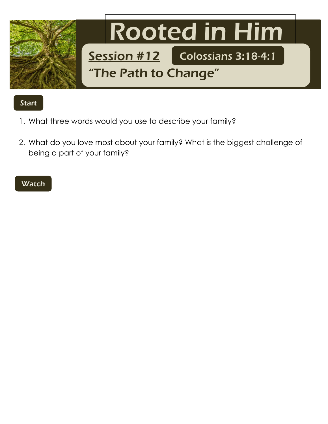

## Start

- 1. What three words would you use to describe your family?
- 2. What do you love most about your family? What is the biggest challenge of being a part of your family?

## **Watch**